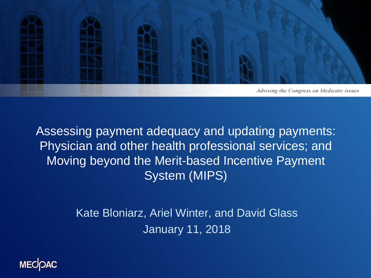

Assessing payment adequacy and updating payments: Physician and other health professional services; and Moving beyond the Merit-based Incentive Payment System (MIPS)

> Kate Bloniarz, Ariel Winter, and David Glass January 11, 2018

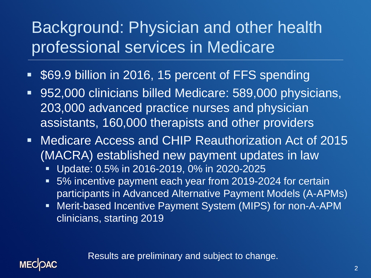## Background: Physician and other health professional services in Medicare

- **S69.9 billion in 2016, 15 percent of FFS spending**
- 952,000 clinicians billed Medicare: 589,000 physicians, 203,000 advanced practice nurses and physician assistants, 160,000 therapists and other providers
- Medicare Access and CHIP Reauthorization Act of 2015 (MACRA) established new payment updates in law
	- Update: 0.5% in 2016-2019, 0% in 2020-2025

**MECOAC** 

- 5% incentive payment each year from 2019-2024 for certain participants in Advanced Alternative Payment Models (A-APMs)
- **Merit-based Incentive Payment System (MIPS) for non-A-APM** clinicians, starting 2019

Results are preliminary and subject to change.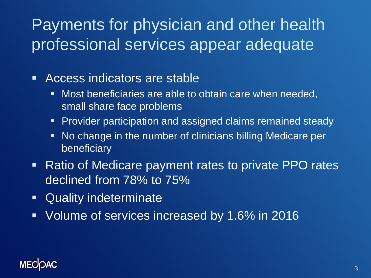## Payments for physician and other health professional services appear adequate

- Access indicators are stable
	- Most beneficiaries are able to obtain care when needed, small share face problems
	- **Provider participation and assigned claims remained steady**
	- No change in the number of clinicians billing Medicare per beneficiary
- Ratio of Medicare payment rates to private PPO rates declined from 78% to 75%
- Quality indeterminate
- **Volume of services increased by 1.6% in 2016**

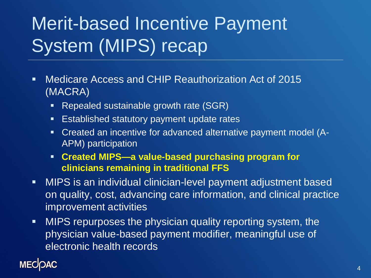# Merit-based Incentive Payment System (MIPS) recap

- Medicare Access and CHIP Reauthorization Act of 2015 (MACRA)
	- **Repealed sustainable growth rate (SGR)**
	- **Established statutory payment update rates**
	- Created an incentive for advanced alternative payment model (A-APM) participation
	- **Created MIPS—a value-based purchasing program for clinicians remaining in traditional FFS**
- MIPS is an individual clinician-level payment adjustment based on quality, cost, advancing care information, and clinical practice improvement activities
- MIPS repurposes the physician quality reporting system, the physician value-based payment modifier, meaningful use of electronic health records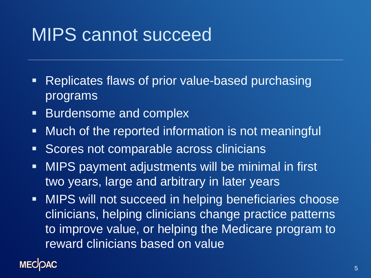## MIPS cannot succeed

- **Replicates flaws of prior value-based purchasing** programs
- **Burdensome and complex**
- **Much of the reported information is not meaningful**
- **Scores not comparable across clinicians**
- **MIPS payment adjustments will be minimal in first** two years, large and arbitrary in later years
- **MIPS will not succeed in helping beneficiaries choose** clinicians, helping clinicians change practice patterns to improve value, or helping the Medicare program to reward clinicians based on value

### **MECOAC**